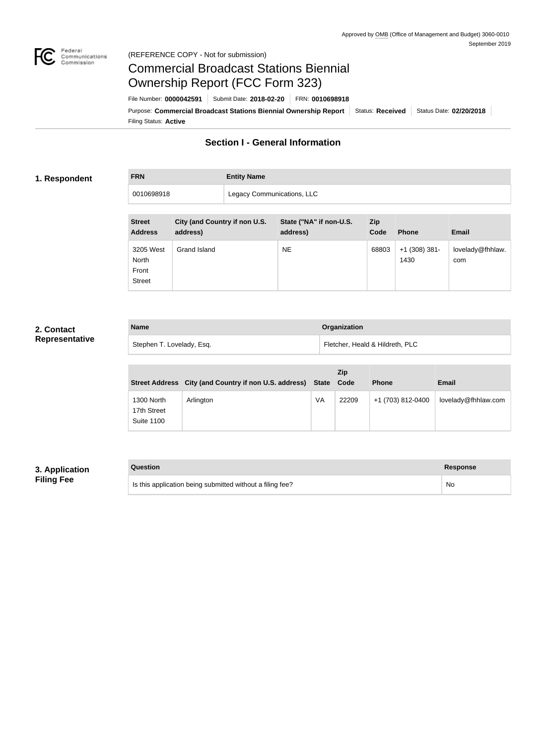

### Federal<br>Communications<br>Commission (REFERENCE COPY - Not for submission)

# Commercial Broadcast Stations Biennial Ownership Report (FCC Form 323)

Filing Status: **Active** Purpose: Commercial Broadcast Stations Biennial Ownership Report Status: Received Status Date: 02/20/2018 File Number: **0000042591** Submit Date: **2018-02-20** FRN: **0010698918**

# **Section I - General Information**

### **1. Respondent**

**FRN Entity Name**

0010698918 | Legacy Communications, LLC

| <b>Street</b><br><b>Address</b>              | City (and Country if non U.S.<br>address) | State ("NA" if non-U.S.<br>address) | <b>Zip</b><br>Code | <b>Phone</b>            | <b>Email</b>            |
|----------------------------------------------|-------------------------------------------|-------------------------------------|--------------------|-------------------------|-------------------------|
| 3205 West<br>North<br>Front<br><b>Street</b> | Grand Island                              | <b>NE</b>                           | 68803              | $+1$ (308) 381-<br>1430 | lovelady@fhhlaw.<br>com |

## **2. Contact Representative**

| <b>Name</b>               | <b>Organization</b>             |
|---------------------------|---------------------------------|
| Stephen T. Lovelady, Esq. | Fletcher, Heald & Hildreth, PLC |

|                                                | Street Address City (and Country if non U.S. address) State |    | Zip<br>Code | <b>Phone</b>      | <b>Email</b>        |
|------------------------------------------------|-------------------------------------------------------------|----|-------------|-------------------|---------------------|
| 1300 North<br>17th Street<br><b>Suite 1100</b> | Arlington                                                   | VA | 22209       | +1 (703) 812-0400 | lovelady@fhhlaw.com |

# **3. Application Filing Fee**

| Question                                                  | Response |
|-----------------------------------------------------------|----------|
| Is this application being submitted without a filing fee? | No       |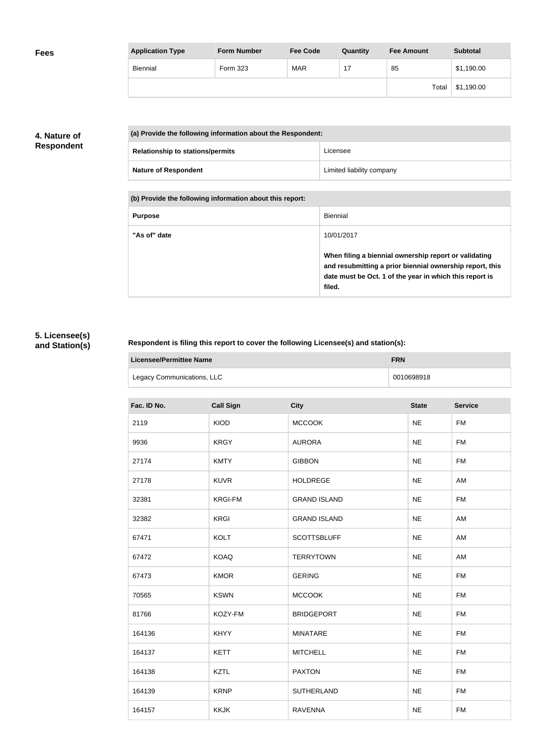| <b>Application Type</b> | <b>Form Number</b> | <b>Fee Code</b> | Quantity | <b>Fee Amount</b> | <b>Subtotal</b> |
|-------------------------|--------------------|-----------------|----------|-------------------|-----------------|
| Biennial                | Form 323           | <b>MAR</b>      |          | 85                | \$1,190.00      |
|                         |                    |                 |          | Total             | \$1,190.00      |

## **4. Nature of Respondent**

| (a) Provide the following information about the Respondent: |                           |
|-------------------------------------------------------------|---------------------------|
| <b>Relationship to stations/permits</b>                     | Licensee                  |
| <b>Nature of Respondent</b>                                 | Limited liability company |

**(b) Provide the following information about this report:**

| <b>Purpose</b> | Biennial                                                                                                                                                                               |
|----------------|----------------------------------------------------------------------------------------------------------------------------------------------------------------------------------------|
| "As of" date   | 10/01/2017                                                                                                                                                                             |
|                | When filing a biennial ownership report or validating<br>and resubmitting a prior biennial ownership report, this<br>date must be Oct. 1 of the year in which this report is<br>filed. |

# **5. Licensee(s) and Station(s)**

r

## **Respondent is filing this report to cover the following Licensee(s) and station(s):**

| Licensee/Permittee Name    | <b>FRN</b> |
|----------------------------|------------|
| Legacy Communications, LLC | 0010698918 |

| Fac. ID No. | <b>Call Sign</b> | <b>City</b>         | <b>State</b> | <b>Service</b> |
|-------------|------------------|---------------------|--------------|----------------|
| 2119        | <b>KIOD</b>      | <b>MCCOOK</b>       | <b>NE</b>    | <b>FM</b>      |
| 9936        | <b>KRGY</b>      | <b>AURORA</b>       | <b>NE</b>    | <b>FM</b>      |
| 27174       | <b>KMTY</b>      | <b>GIBBON</b>       | <b>NE</b>    | <b>FM</b>      |
| 27178       | <b>KUVR</b>      | <b>HOLDREGE</b>     | <b>NE</b>    | AM             |
| 32381       | <b>KRGI-FM</b>   | <b>GRAND ISLAND</b> | <b>NE</b>    | <b>FM</b>      |
| 32382       | <b>KRGI</b>      | <b>GRAND ISLAND</b> | <b>NE</b>    | AM             |
| 67471       | <b>KOLT</b>      | <b>SCOTTSBLUFF</b>  | <b>NE</b>    | AM             |
| 67472       | <b>KOAQ</b>      | <b>TERRYTOWN</b>    | <b>NE</b>    | AM             |
| 67473       | <b>KMOR</b>      | <b>GERING</b>       | <b>NE</b>    | <b>FM</b>      |
| 70565       | <b>KSWN</b>      | <b>MCCOOK</b>       | <b>NE</b>    | <b>FM</b>      |
| 81766       | KOZY-FM          | <b>BRIDGEPORT</b>   | <b>NE</b>    | <b>FM</b>      |
| 164136      | <b>KHYY</b>      | <b>MINATARE</b>     | <b>NE</b>    | <b>FM</b>      |
| 164137      | <b>KETT</b>      | <b>MITCHELL</b>     | <b>NE</b>    | <b>FM</b>      |
| 164138      | <b>KZTL</b>      | <b>PAXTON</b>       | <b>NE</b>    | <b>FM</b>      |
| 164139      | <b>KRNP</b>      | <b>SUTHERLAND</b>   | <b>NE</b>    | <b>FM</b>      |
| 164157      | <b>KKJK</b>      | <b>RAVENNA</b>      | <b>NE</b>    | <b>FM</b>      |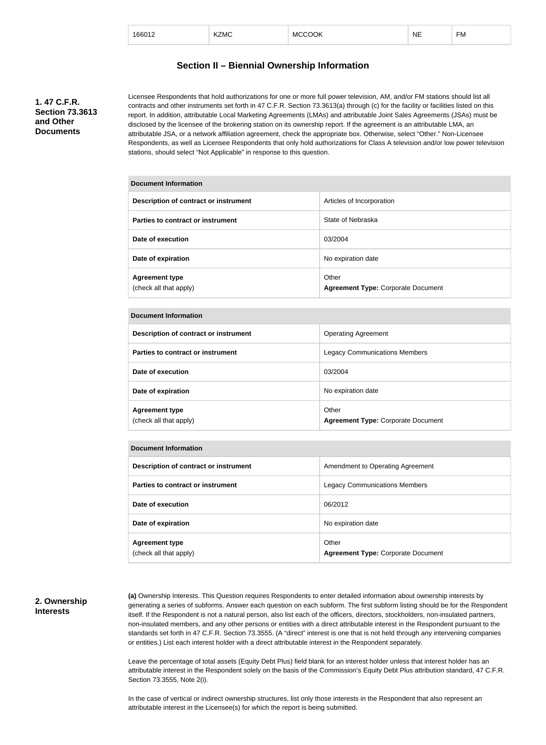| 166012 | KZMC | <b>MCCOOK</b> | <b>NE</b> | --<br>⊦м |
|--------|------|---------------|-----------|----------|
|        |      |               |           |          |

### **Section II – Biennial Ownership Information**

**1. 47 C.F.R. Section 73.3613 and Other Documents**

Licensee Respondents that hold authorizations for one or more full power television, AM, and/or FM stations should list all contracts and other instruments set forth in 47 C.F.R. Section 73.3613(a) through (c) for the facility or facilities listed on this report. In addition, attributable Local Marketing Agreements (LMAs) and attributable Joint Sales Agreements (JSAs) must be disclosed by the licensee of the brokering station on its ownership report. If the agreement is an attributable LMA, an attributable JSA, or a network affiliation agreement, check the appropriate box. Otherwise, select "Other." Non-Licensee Respondents, as well as Licensee Respondents that only hold authorizations for Class A television and/or low power television stations, should select "Not Applicable" in response to this question.

| <b>Document Information</b>                     |                                                    |
|-------------------------------------------------|----------------------------------------------------|
| Description of contract or instrument           | Articles of Incorporation                          |
| Parties to contract or instrument               | State of Nebraska                                  |
| Date of execution                               | 03/2004                                            |
| Date of expiration                              | No expiration date                                 |
| <b>Agreement type</b><br>(check all that apply) | Other<br><b>Agreement Type: Corporate Document</b> |

#### **Document Information**

| Description of contract or instrument           | <b>Operating Agreement</b>                         |
|-------------------------------------------------|----------------------------------------------------|
| Parties to contract or instrument               | <b>Legacy Communications Members</b>               |
| Date of execution                               | 03/2004                                            |
| Date of expiration                              | No expiration date                                 |
| <b>Agreement type</b><br>(check all that apply) | Other<br><b>Agreement Type: Corporate Document</b> |

#### **Document Information**

| Description of contract or instrument           | Amendment to Operating Agreement                   |
|-------------------------------------------------|----------------------------------------------------|
| Parties to contract or instrument               | <b>Legacy Communications Members</b>               |
| Date of execution                               | 06/2012                                            |
| Date of expiration                              | No expiration date                                 |
| <b>Agreement type</b><br>(check all that apply) | Other<br><b>Agreement Type: Corporate Document</b> |

### **2. Ownership Interests**

**(a)** Ownership Interests. This Question requires Respondents to enter detailed information about ownership interests by generating a series of subforms. Answer each question on each subform. The first subform listing should be for the Respondent itself. If the Respondent is not a natural person, also list each of the officers, directors, stockholders, non-insulated partners, non-insulated members, and any other persons or entities with a direct attributable interest in the Respondent pursuant to the standards set forth in 47 C.F.R. Section 73.3555. (A "direct" interest is one that is not held through any intervening companies or entities.) List each interest holder with a direct attributable interest in the Respondent separately.

Leave the percentage of total assets (Equity Debt Plus) field blank for an interest holder unless that interest holder has an attributable interest in the Respondent solely on the basis of the Commission's Equity Debt Plus attribution standard, 47 C.F.R. Section 73.3555, Note 2(i).

In the case of vertical or indirect ownership structures, list only those interests in the Respondent that also represent an attributable interest in the Licensee(s) for which the report is being submitted.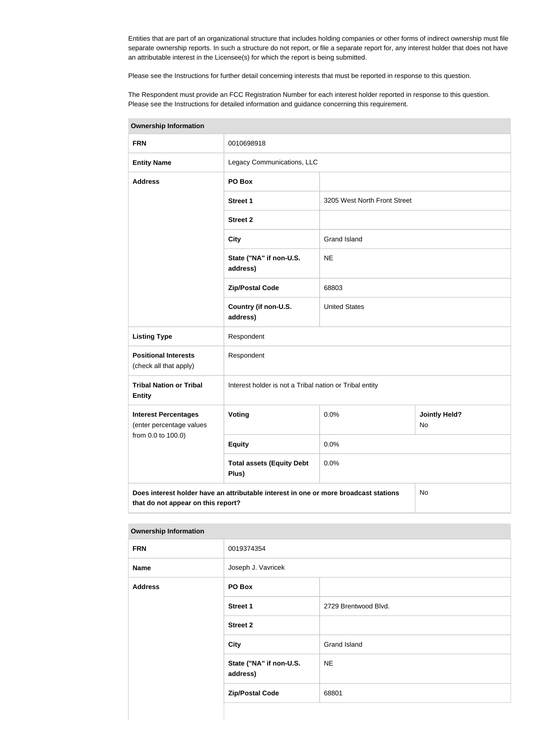Entities that are part of an organizational structure that includes holding companies or other forms of indirect ownership must file separate ownership reports. In such a structure do not report, or file a separate report for, any interest holder that does not have an attributable interest in the Licensee(s) for which the report is being submitted.

Please see the Instructions for further detail concerning interests that must be reported in response to this question.

The Respondent must provide an FCC Registration Number for each interest holder reported in response to this question. Please see the Instructions for detailed information and guidance concerning this requirement.

| <b>Ownership Information</b>                            |                                                                                      |                              |                            |
|---------------------------------------------------------|--------------------------------------------------------------------------------------|------------------------------|----------------------------|
| <b>FRN</b>                                              | 0010698918                                                                           |                              |                            |
| <b>Entity Name</b>                                      | Legacy Communications, LLC                                                           |                              |                            |
| <b>Address</b>                                          | PO Box                                                                               |                              |                            |
|                                                         | <b>Street 1</b>                                                                      | 3205 West North Front Street |                            |
|                                                         | <b>Street 2</b>                                                                      |                              |                            |
|                                                         | <b>City</b>                                                                          | <b>Grand Island</b>          |                            |
|                                                         | State ("NA" if non-U.S.<br>address)                                                  | <b>NE</b>                    |                            |
|                                                         | <b>Zip/Postal Code</b>                                                               | 68803                        |                            |
|                                                         | Country (if non-U.S.<br>address)                                                     | <b>United States</b>         |                            |
| <b>Listing Type</b>                                     | Respondent                                                                           |                              |                            |
| <b>Positional Interests</b><br>(check all that apply)   | Respondent                                                                           |                              |                            |
| <b>Tribal Nation or Tribal</b><br><b>Entity</b>         | Interest holder is not a Tribal nation or Tribal entity                              |                              |                            |
| <b>Interest Percentages</b><br>(enter percentage values | Voting                                                                               | 0.0%                         | <b>Jointly Held?</b><br>No |
| from 0.0 to 100.0)                                      | <b>Equity</b>                                                                        | 0.0%                         |                            |
|                                                         | <b>Total assets (Equity Debt</b><br>Plus)                                            | 0.0%                         |                            |
| that do not appear on this report?                      | Does interest holder have an attributable interest in one or more broadcast stations |                              | No                         |

**Ownership Information**

| <b>FRN</b>     | 0019374354                          |                      |
|----------------|-------------------------------------|----------------------|
| <b>Name</b>    | Joseph J. Vavricek                  |                      |
| <b>Address</b> | PO Box                              |                      |
|                | <b>Street 1</b>                     | 2729 Brentwood Blvd. |
|                | <b>Street 2</b>                     |                      |
|                | <b>City</b>                         | Grand Island         |
|                | State ("NA" if non-U.S.<br>address) | <b>NE</b>            |
|                | <b>Zip/Postal Code</b>              | 68801                |
|                |                                     |                      |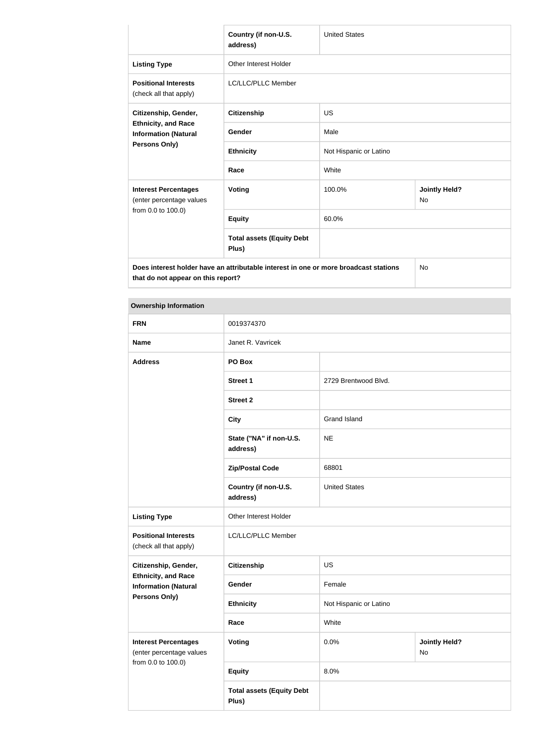|                                                           | Country (if non-U.S.<br>address)                                                     | <b>United States</b>   |                                   |  |
|-----------------------------------------------------------|--------------------------------------------------------------------------------------|------------------------|-----------------------------------|--|
| <b>Listing Type</b>                                       | Other Interest Holder                                                                |                        |                                   |  |
| <b>Positional Interests</b><br>(check all that apply)     | LC/LLC/PLLC Member                                                                   |                        |                                   |  |
| Citizenship, Gender,                                      | <b>Citizenship</b>                                                                   | <b>US</b>              |                                   |  |
| <b>Ethnicity, and Race</b><br><b>Information (Natural</b> | Gender                                                                               | Male                   |                                   |  |
| <b>Persons Only)</b>                                      | <b>Ethnicity</b>                                                                     | Not Hispanic or Latino |                                   |  |
|                                                           | Race                                                                                 | White                  |                                   |  |
| <b>Interest Percentages</b><br>(enter percentage values   | Voting                                                                               | 100.0%                 | <b>Jointly Held?</b><br><b>No</b> |  |
| from 0.0 to 100.0)                                        | <b>Equity</b>                                                                        | 60.0%                  |                                   |  |
|                                                           | <b>Total assets (Equity Debt</b><br>Plus)                                            |                        |                                   |  |
| that do not appear on this report?                        | Does interest holder have an attributable interest in one or more broadcast stations |                        | <b>No</b>                         |  |

### **Ownership Information**

| <b>FRN</b>                                                                    | 0019374370                                |                        |                            |  |
|-------------------------------------------------------------------------------|-------------------------------------------|------------------------|----------------------------|--|
| <b>Name</b>                                                                   | Janet R. Vavricek                         |                        |                            |  |
| <b>Address</b>                                                                | PO Box                                    |                        |                            |  |
|                                                                               | <b>Street 1</b>                           | 2729 Brentwood Blvd.   |                            |  |
|                                                                               | <b>Street 2</b>                           |                        |                            |  |
|                                                                               | <b>City</b>                               | <b>Grand Island</b>    |                            |  |
|                                                                               | State ("NA" if non-U.S.<br>address)       | <b>NE</b>              |                            |  |
|                                                                               | <b>Zip/Postal Code</b>                    | 68801                  |                            |  |
|                                                                               | Country (if non-U.S.<br>address)          | <b>United States</b>   |                            |  |
| <b>Listing Type</b>                                                           | Other Interest Holder                     |                        |                            |  |
| <b>Positional Interests</b><br>(check all that apply)                         | LC/LLC/PLLC Member                        |                        |                            |  |
| Citizenship, Gender,                                                          | <b>Citizenship</b>                        | US                     |                            |  |
| <b>Ethnicity, and Race</b><br><b>Information (Natural</b>                     | Gender                                    | Female                 |                            |  |
| Persons Only)                                                                 | <b>Ethnicity</b>                          | Not Hispanic or Latino |                            |  |
|                                                                               | Race                                      | White                  |                            |  |
| <b>Interest Percentages</b><br>(enter percentage values<br>from 0.0 to 100.0) | <b>Voting</b>                             | 0.0%                   | <b>Jointly Held?</b><br>No |  |
|                                                                               | <b>Equity</b>                             | 8.0%                   |                            |  |
|                                                                               | <b>Total assets (Equity Debt</b><br>Plus) |                        |                            |  |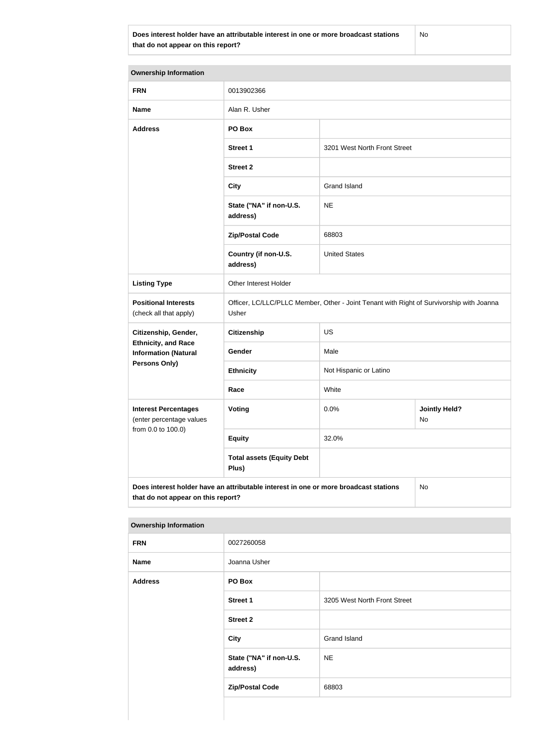**Does interest holder have an attributable interest in one or more broadcast stations that do not appear on this report?**

No

**Ownership Information FRN** 0013902366 **Name** Alan R. Usher **Address PO Box Street 1** 3201 West North Front Street **Street 2 City** Grand Island **State ("NA" if non-U.S. address)** NE **Zip/Postal Code** 68803 **Country (if non-U.S. address)** United States **Listing Type Cina Communist Communist Property** Other Interest Holder **Positional Interests** (check all that apply) Officer, LC/LLC/PLLC Member, Other - Joint Tenant with Right of Survivorship with Joanna Usher **Citizenship, Gender, Ethnicity, and Race Information (Natural Persons Only) Citizenship** US Gender Male **Ethnicity** Not Hispanic or Latino **Race** White **Interest Percentages** (enter percentage values from 0.0 to 100.0) **Voting Voting Definitive of**  $\begin{array}{c|c} 0.0\% & \multicolumn{1}{c|}{\text{Joint}} \end{array}$  **Held?** No **Equity** 32.0% **Total assets (Equity Debt Plus) Does interest holder have an attributable interest in one or more broadcast stations**  No

### **Ownership Information**

**that do not appear on this report?**

| __             |                                     |                              |
|----------------|-------------------------------------|------------------------------|
| <b>FRN</b>     | 0027260058                          |                              |
| <b>Name</b>    | Joanna Usher                        |                              |
| <b>Address</b> | PO Box                              |                              |
|                | <b>Street 1</b>                     | 3205 West North Front Street |
|                | <b>Street 2</b>                     |                              |
|                | <b>City</b>                         | <b>Grand Island</b>          |
|                | State ("NA" if non-U.S.<br>address) | <b>NE</b>                    |
|                | <b>Zip/Postal Code</b>              | 68803                        |
|                |                                     |                              |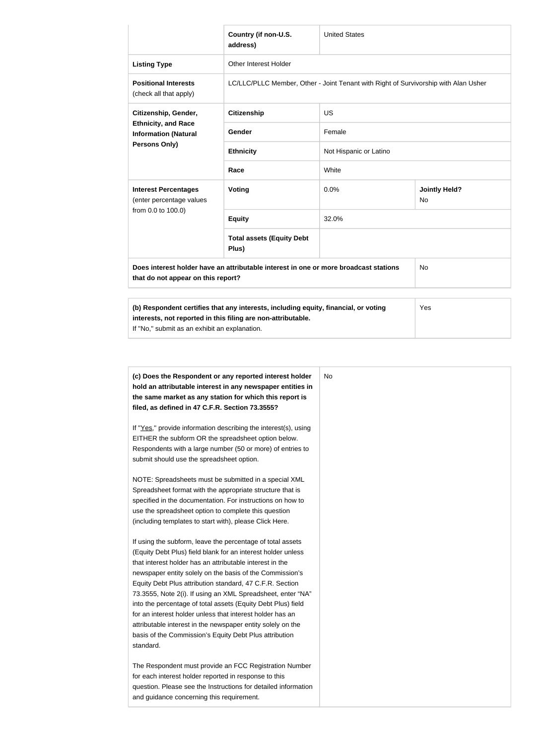|                                                                                                                                                                                                             | Country (if non-U.S.<br>address)                                                    | <b>United States</b>   |                            |  |
|-------------------------------------------------------------------------------------------------------------------------------------------------------------------------------------------------------------|-------------------------------------------------------------------------------------|------------------------|----------------------------|--|
| <b>Listing Type</b>                                                                                                                                                                                         | Other Interest Holder                                                               |                        |                            |  |
| <b>Positional Interests</b><br>(check all that apply)                                                                                                                                                       | LC/LLC/PLLC Member, Other - Joint Tenant with Right of Survivorship with Alan Usher |                        |                            |  |
| Citizenship, Gender,                                                                                                                                                                                        | <b>US</b><br><b>Citizenship</b>                                                     |                        |                            |  |
| <b>Ethnicity, and Race</b><br><b>Information (Natural</b>                                                                                                                                                   | Gender                                                                              | Female                 |                            |  |
| Persons Only)                                                                                                                                                                                               | <b>Ethnicity</b>                                                                    | Not Hispanic or Latino |                            |  |
|                                                                                                                                                                                                             | Race                                                                                | White                  |                            |  |
| <b>Interest Percentages</b><br>(enter percentage values                                                                                                                                                     | Voting                                                                              | 0.0%                   | <b>Jointly Held?</b><br>No |  |
| from 0.0 to 100.0)                                                                                                                                                                                          | <b>Equity</b>                                                                       | 32.0%                  |                            |  |
|                                                                                                                                                                                                             | <b>Total assets (Equity Debt</b><br>Plus)                                           |                        |                            |  |
| Does interest holder have an attributable interest in one or more broadcast stations<br>that do not appear on this report?                                                                                  |                                                                                     |                        | <b>No</b>                  |  |
| (b) Respondent certifies that any interests, including equity, financial, or voting<br>Yes<br>interests, not reported in this filing are non-attributable.<br>If "No," submit as an exhibit an explanation. |                                                                                     |                        |                            |  |
|                                                                                                                                                                                                             |                                                                                     |                        |                            |  |

| (c) Does the Respondent or any reported interest holder<br>hold an attributable interest in any newspaper entities in<br>the same market as any station for which this report is<br>filed, as defined in 47 C.F.R. Section 73.3555?                                                                                                                                                                                                                                                                                                                                                                                                              | No. |
|--------------------------------------------------------------------------------------------------------------------------------------------------------------------------------------------------------------------------------------------------------------------------------------------------------------------------------------------------------------------------------------------------------------------------------------------------------------------------------------------------------------------------------------------------------------------------------------------------------------------------------------------------|-----|
| If "Yes," provide information describing the interest(s), using<br>EITHER the subform OR the spreadsheet option below.<br>Respondents with a large number (50 or more) of entries to<br>submit should use the spreadsheet option.                                                                                                                                                                                                                                                                                                                                                                                                                |     |
| NOTE: Spreadsheets must be submitted in a special XML<br>Spreadsheet format with the appropriate structure that is<br>specified in the documentation. For instructions on how to<br>use the spreadsheet option to complete this question<br>(including templates to start with), please Click Here.                                                                                                                                                                                                                                                                                                                                              |     |
| If using the subform, leave the percentage of total assets<br>(Equity Debt Plus) field blank for an interest holder unless<br>that interest holder has an attributable interest in the<br>newspaper entity solely on the basis of the Commission's<br>Equity Debt Plus attribution standard, 47 C.F.R. Section<br>73.3555, Note 2(i). If using an XML Spreadsheet, enter "NA"<br>into the percentage of total assets (Equity Debt Plus) field<br>for an interest holder unless that interest holder has an<br>attributable interest in the newspaper entity solely on the<br>basis of the Commission's Equity Debt Plus attribution<br>standard. |     |
| The Respondent must provide an FCC Registration Number<br>for each interest holder reported in response to this<br>question. Please see the Instructions for detailed information<br>and guidance concerning this requirement.                                                                                                                                                                                                                                                                                                                                                                                                                   |     |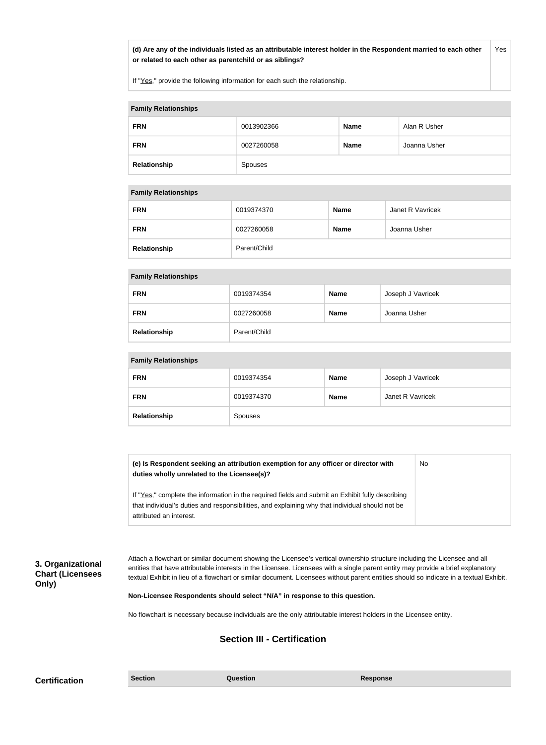**(d) Are any of the individuals listed as an attributable interest holder in the Respondent married to each other or related to each other as parentchild or as siblings?** Yes

If "Yes," provide the following information for each such the relationship.

| <b>Family Relationships</b> |            |             |              |
|-----------------------------|------------|-------------|--------------|
| <b>FRN</b>                  | 0013902366 | <b>Name</b> | Alan R Usher |
| <b>FRN</b>                  | 0027260058 | <b>Name</b> | Joanna Usher |
| Relationship                | Spouses    |             |              |

#### **Family Relationships**

| <b>FRN</b>   | 0019374370   | <b>Name</b> | Janet R Vavricek |
|--------------|--------------|-------------|------------------|
| <b>FRN</b>   | 0027260058   | <b>Name</b> | Joanna Usher     |
| Relationship | Parent/Child |             |                  |

### **Family Relationships**

| <b>FRN</b>   | 0019374354   | <b>Name</b> | Joseph J Vavricek |
|--------------|--------------|-------------|-------------------|
| <b>FRN</b>   | 0027260058   | <b>Name</b> | Joanna Usher      |
| Relationship | Parent/Child |             |                   |

#### **Family Relationships**

| <b>FRN</b>   | 0019374354 | <b>Name</b> | Joseph J Vavricek |
|--------------|------------|-------------|-------------------|
| <b>FRN</b>   | 0019374370 | <b>Name</b> | Janet R Vavricek  |
| Relationship | Spouses    |             |                   |

| (e) Is Respondent seeking an attribution exemption for any officer or director with<br>duties wholly unrelated to the Licensee(s)? | No |
|------------------------------------------------------------------------------------------------------------------------------------|----|
| If "Yes," complete the information in the required fields and submit an Exhibit fully describing                                   |    |
| that individual's duties and responsibilities, and explaining why that individual should not be                                    |    |
| attributed an interest.                                                                                                            |    |

**3. Organizational Chart (Licensees Only)**

Attach a flowchart or similar document showing the Licensee's vertical ownership structure including the Licensee and all entities that have attributable interests in the Licensee. Licensees with a single parent entity may provide a brief explanatory textual Exhibit in lieu of a flowchart or similar document. Licensees without parent entities should so indicate in a textual Exhibit.

**Non-Licensee Respondents should select "N/A" in response to this question.**

No flowchart is necessary because individuals are the only attributable interest holders in the Licensee entity.

### **Section III - Certification**

**Certification Section Section Question** *Question* **Response**